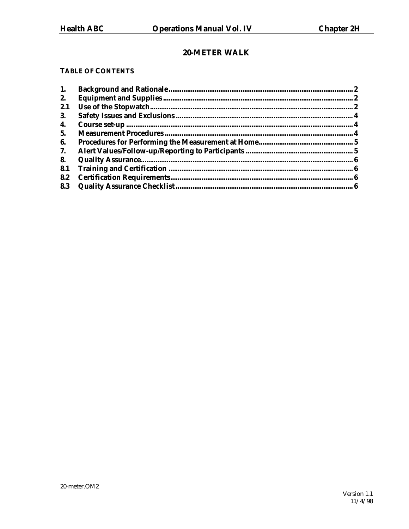# 20-METER WALK

# **TABLE OF CONTENTS**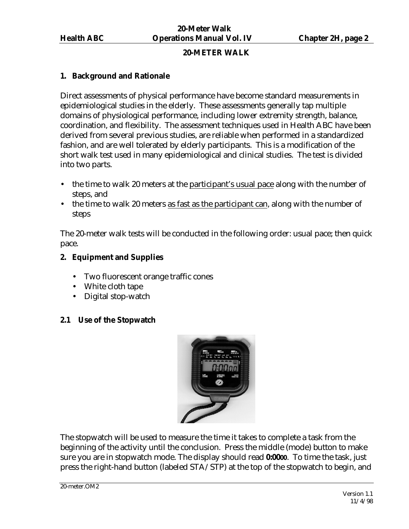### **20-METER WALK**

#### <span id="page-1-0"></span>**1. Background and Rationale**

Direct assessments of physical performance have become standard measurements in epidemiological studies in the elderly. These assessments generally tap multiple domains of physiological performance, including lower extremity strength, balance, coordination, and flexibility. The assessment techniques used in Health ABC have been derived from several previous studies, are reliable when performed in a standardized fashion, and are well tolerated by elderly participants. This is a modification of the short walk test used in many epidemiological and clinical studies. The test is divided into two parts.

- the time to walk 20 meters at the participant's usual pace along with the number of steps, and
- the time to walk 20 meters as fast as the participant can, along with the number of steps

The 20-meter walk tests will be conducted in the following order: usual pace; then quick pace.

### **2. Equipment and Supplies**

- Two fluorescent orange traffic cones
- White cloth tape
- Digital stop-watch

# **2.1 Use of the Stopwatch**



The stopwatch will be used to measure the time it takes to complete a task from the beginning of the activity until the conclusion. Press the middle (mode) button to make sure you are in stopwatch mode. The display should read **0:0000**. To time the task, just press the right-hand button (labeled STA/STP) at the top of the stopwatch to begin, and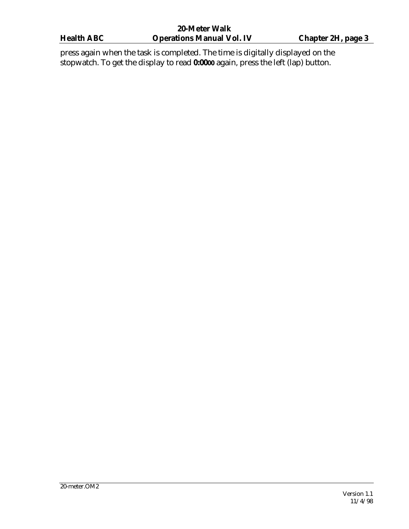press again when the task is completed. The time is digitally displayed on the stopwatch. To get the display to read **0:0000** again, press the left (lap) button.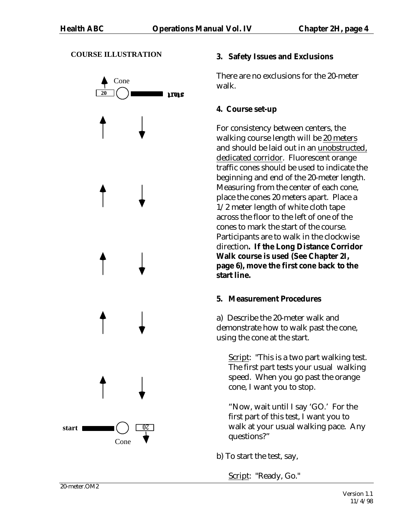#### **COURSE ILLUSTRATION**

<span id="page-3-0"></span>

# **3. Safety Issues and Exclusions**

There are no exclusions for the 20-meter walk.

# **4. Course set-up**

For consistency between centers, the walking course length will be 20 meters and should be laid out in an unobstructed, dedicated corridor. Fluorescent orange traffic cones should be used to indicate the beginning and end of the 20-meter length. Measuring from the center of each cone, place the cones 20 meters apart. Place a 1/2 meter length of white cloth tape across the floor to the left of one of the cones to mark the start of the course. Participants are to walk in the clockwise direction**. If the Long Distance Corridor Walk course is used (See Chapter 2I, page 6), move the first cone back to the start line.** 

# **5. Measurement Procedures**

a) Describe the 20-meter walk and demonstrate how to walk past the cone, using the cone at the start.

Script: "This is a two part walking test. The first part tests your usual walking speed. When you go past the orange cone, I want you to stop.

"Now, wait until I say 'GO.' For the first part of this test, I want you to walk at your usual walking pace. Any questions?"

b) To start the test, say,

Script: "Ready, Go."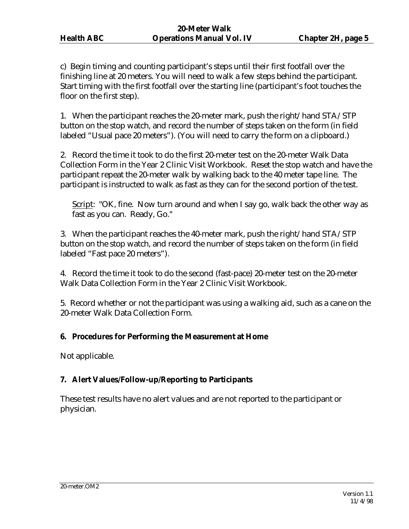<span id="page-4-0"></span>c) Begin timing and counting participant's steps until their first footfall over the finishing line at 20 meters. You will need to walk a few steps behind the participant. Start timing with the first footfall over the starting line (participant's foot touches the floor on the first step).

1. When the participant reaches the 20-meter mark, push the right/hand STA/STP button on the stop watch, and record the number of steps taken on the form (in field labeled "Usual pace 20 meters"). (You will need to carry the form on a clipboard.)

2. Record the time it took to do the first 20-meter test on the 20-meter Walk Data Collection Form in the Year 2 Clinic Visit Workbook. Reset the stop watch and have the participant repeat the 20-meter walk by walking back to the 40 meter tape line. The participant is instructed to walk as fast as they can for the second portion of the test.

Script: "OK, fine. Now turn around and when I say go, walk back the other way as fast as you can. Ready, Go."

3. When the participant reaches the 40-meter mark, push the right/hand STA/STP button on the stop watch, and record the number of steps taken on the form (in field labeled "Fast pace 20 meters").

4. Record the time it took to do the second (fast-pace) 20-meter test on the 20-meter Walk Data Collection Form in the Year 2 Clinic Visit Workbook.

5. Record whether or not the participant was using a walking aid, such as a cane on the 20-meter Walk Data Collection Form.

# **6. Procedures for Performing the Measurement at Home**

Not applicable.

# **7. Alert Values/Follow-up/Reporting to Participants**

These test results have no alert values and are not reported to the participant or physician.